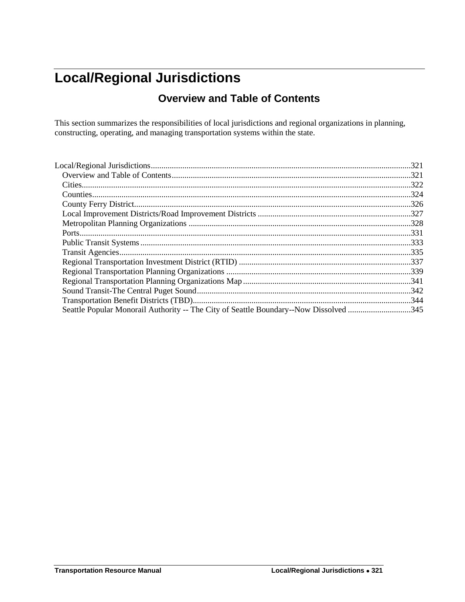## <span id="page-0-1"></span><span id="page-0-0"></span>**Local/Regional Jurisdictions**

### **Overview and Table of Contents**

This section summarizes the responsibilities of local jurisdictions and regional organizations in planning, constructing, operating, and managing transportation systems within the state.

|                                                                                       | 321   |
|---------------------------------------------------------------------------------------|-------|
|                                                                                       |       |
|                                                                                       | 324   |
|                                                                                       |       |
|                                                                                       |       |
|                                                                                       | .328  |
|                                                                                       | . 331 |
|                                                                                       |       |
|                                                                                       |       |
|                                                                                       |       |
|                                                                                       |       |
|                                                                                       |       |
|                                                                                       |       |
|                                                                                       |       |
| Seattle Popular Monorail Authority -- The City of Seattle Boundary--Now Dissolved 345 |       |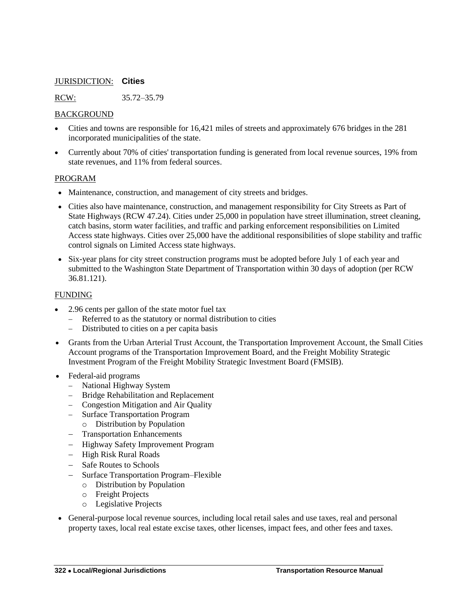#### <span id="page-1-0"></span>JURISDICTION: **Cities**

RCW: 35.72–35.79

#### BACKGROUND

- Cities and towns are responsible for 16,421 miles of streets and approximately 676 bridges in the 281 incorporated municipalities of the state.
- Currently about 70% of cities' transportation funding is generated from local revenue sources, 19% from state revenues, and 11% from federal sources.

#### PROGRAM

- Maintenance, construction, and management of city streets and bridges.
- Cities also have maintenance, construction, and management responsibility for City Streets as Part of State Highways (RCW 47.24). Cities under 25,000 in population have street illumination, street cleaning, catch basins, storm water facilities, and traffic and parking enforcement responsibilities on Limited Access state highways. Cities over 25,000 have the additional responsibilities of slope stability and traffic control signals on Limited Access state highways.
- Six-year plans for city street construction programs must be adopted before July 1 of each year and submitted to the Washington State Department of Transportation within 30 days of adoption (per RCW 36.81.121).

#### FUNDING

- 2.96 cents per gallon of the state motor fuel tax
	- Referred to as the statutory or normal distribution to cities
	- Distributed to cities on a per capita basis
- Grants from the Urban Arterial Trust Account, the Transportation Improvement Account, the Small Cities Account programs of the Transportation Improvement Board, and the Freight Mobility Strategic Investment Program of the Freight Mobility Strategic Investment Board (FMSIB).
- Federal-aid programs
	- National Highway System
	- Bridge Rehabilitation and Replacement
	- Congestion Mitigation and Air Quality
	- Surface Transportation Program
	- o Distribution by Population
	- Transportation Enhancements
	- Highway Safety Improvement Program
	- High Risk Rural Roads
	- Safe Routes to Schools
	- Surface Transportation Program–Flexible
		- o Distribution by Population
		- o Freight Projects
		- o Legislative Projects
- General-purpose local revenue sources, including local retail sales and use taxes, real and personal property taxes, local real estate excise taxes, other licenses, impact fees, and other fees and taxes.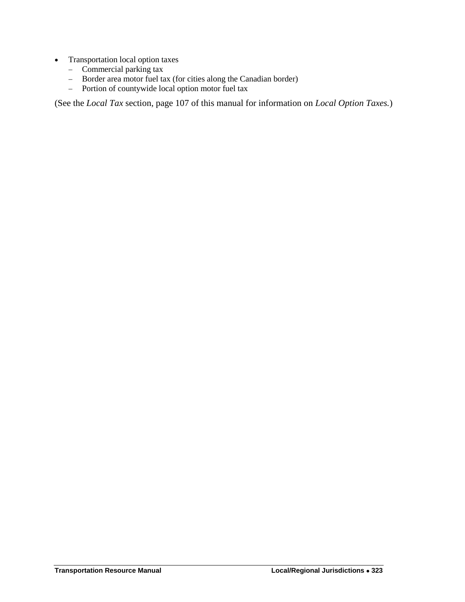- Transportation local option taxes
	- $\overline{\phantom{a}}$  Commercial parking tax
	- Border area motor fuel tax (for cities along the Canadian border)<br>- Portion of countywide local option motor fuel tax
	- Portion of countywide local option motor fuel tax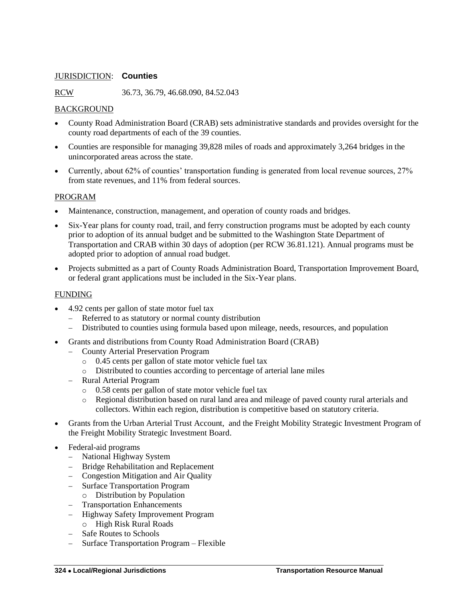#### <span id="page-3-0"></span>JURISDICTION: **Counties**

RCW 36.73, 36.79, 46.68.090, 84.52.043

#### BACKGROUND

- County Road Administration Board (CRAB) sets administrative standards and provides oversight for the county road departments of each of the 39 counties.
- Counties are responsible for managing 39,828 miles of roads and approximately 3,264 bridges in the unincorporated areas across the state.
- Currently, about 62% of counties' transportation funding is generated from local revenue sources, 27% from state revenues, and 11% from federal sources.

#### PROGRAM

- Maintenance, construction, management, and operation of county roads and bridges.
- Six-Year plans for county road, trail, and ferry construction programs must be adopted by each county prior to adoption of its annual budget and be submitted to the Washington State Department of Transportation and CRAB within 30 days of adoption (per RCW 36.81.121). Annual programs must be adopted prior to adoption of annual road budget.
- Projects submitted as a part of County Roads Administration Board, Transportation Improvement Board, or federal grant applications must be included in the Six-Year plans.

#### FUNDING

- 4.92 cents per gallon of state motor fuel tax
	- Referred to as statutory or normal county distribution
	- Distributed to counties using formula based upon mileage, needs, resources, and population
- Grants and distributions from County Road Administration Board (CRAB)
	- County Arterial Preservation Program
		- o 0.45 cents per gallon of state motor vehicle fuel tax
		- o Distributed to counties according to percentage of arterial lane miles
	- Rural Arterial Program
		- o 0.58 cents per gallon of state motor vehicle fuel tax
		- o Regional distribution based on rural land area and mileage of paved county rural arterials and collectors. Within each region, distribution is competitive based on statutory criteria.
- Grants from the Urban Arterial Trust Account, and the Freight Mobility Strategic Investment Program of the Freight Mobility Strategic Investment Board.
- Federal-aid programs
	- National Highway System
	- Bridge Rehabilitation and Replacement
	- Congestion Mitigation and Air Quality
	- Surface Transportation Program
		- o Distribution by Population
	- Transportation Enhancements
	- Highway Safety Improvement Program
	- o High Risk Rural Roads
	- Safe Routes to Schools
	- Surface Transportation Program Flexible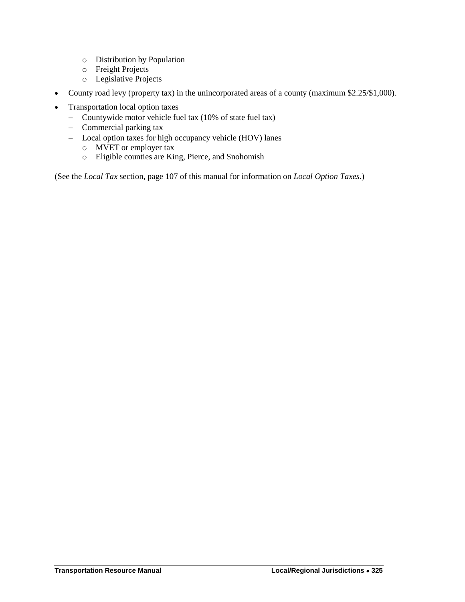- o Distribution by Population
- o Freight Projects
- o Legislative Projects
- County road levy (property tax) in the unincorporated areas of a county (maximum \$2.25/\$1,000).
- Transportation local option taxes
	- Countywide motor vehicle fuel tax (10% of state fuel tax)
	- Commercial parking tax
	- Local option taxes for high occupancy vehicle (HOV) lanes
		- o MVET or employer tax
		- o Eligible counties are King, Pierce, and Snohomish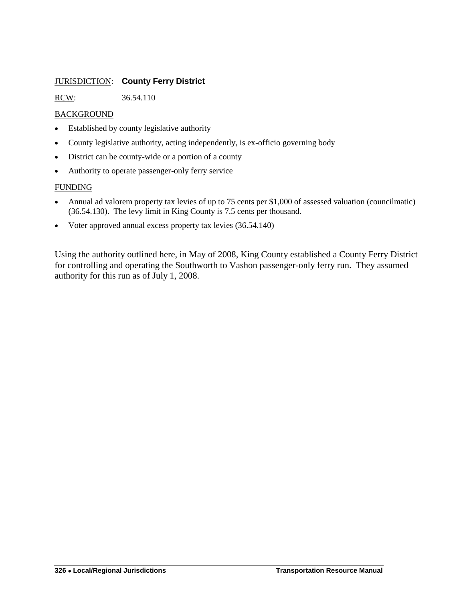#### <span id="page-5-0"></span>JURISDICTION: **County Ferry District**

RCW: 36.54.110

#### BACKGROUND

- Established by county legislative authority
- County legislative authority, acting independently, is ex-officio governing body
- District can be county-wide or a portion of a county
- Authority to operate passenger-only ferry service

#### FUNDING

- Annual ad valorem property tax levies of up to 75 cents per \$1,000 of assessed valuation (councilmatic) (36.54.130). The levy limit in King County is 7.5 cents per thousand.
- Voter approved annual excess property tax levies (36.54.140)

Using the authority outlined here, in May of 2008, King County established a County Ferry District for controlling and operating the Southworth to Vashon passenger-only ferry run. They assumed authority for this run as of July 1, 2008.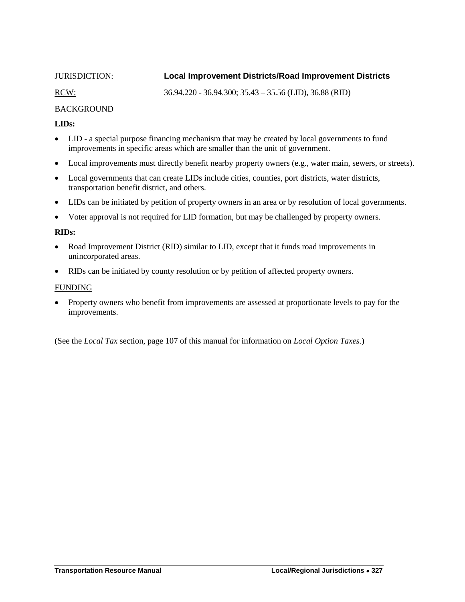#### <span id="page-6-0"></span>JURISDICTION: **Local Improvement Districts/Road Improvement Districts**

RCW: 36.94.220 - 36.94.300; 35.43 – 35.56 (LID), 36.88 (RID)

#### BACKGROUND

#### **LIDs:**

- LID a special purpose financing mechanism that may be created by local governments to fund improvements in specific areas which are smaller than the unit of government.
- Local improvements must directly benefit nearby property owners (e.g., water main, sewers, or streets).
- Local governments that can create LIDs include cities, counties, port districts, water districts, transportation benefit district, and others.
- LIDs can be initiated by petition of property owners in an area or by resolution of local governments.
- Voter approval is not required for LID formation, but may be challenged by property owners.

#### **RIDs:**

- Road Improvement District (RID) similar to LID, except that it funds road improvements in unincorporated areas.
- RIDs can be initiated by county resolution or by petition of affected property owners.

#### FUNDING

• Property owners who benefit from improvements are assessed at proportionate levels to pay for the improvements.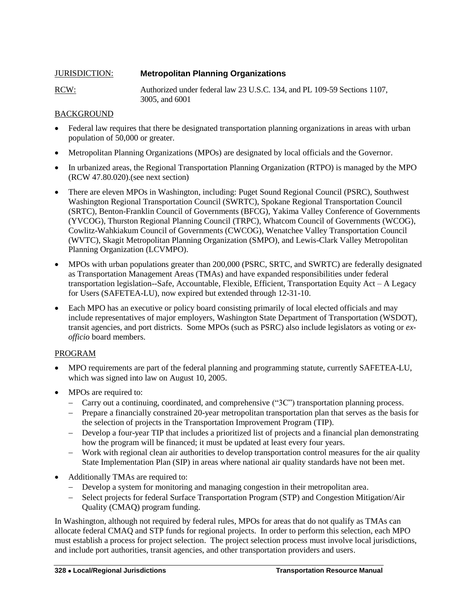<span id="page-7-0"></span>

| <b>JURISDICTION:</b> | <b>Metropolitan Planning Organizations</b>                                                 |
|----------------------|--------------------------------------------------------------------------------------------|
| <u>RCW:</u>          | Authorized under federal law 23 U.S.C. 134, and PL 109-59 Sections 1107,<br>3005, and 6001 |

#### BACKGROUND

- Federal law requires that there be designated transportation planning organizations in areas with urban population of 50,000 or greater.
- Metropolitan Planning Organizations (MPOs) are designated by local officials and the Governor.
- In urbanized areas, the Regional Transportation Planning Organization (RTPO) is managed by the MPO (RCW 47.80.020).(see next section)
- There are eleven MPOs in Washington, including: Puget Sound Regional Council (PSRC), Southwest Washington Regional Transportation Council (SWRTC), Spokane Regional Transportation Council (SRTC), Benton-Franklin Council of Governments (BFCG), Yakima Valley Conference of Governments (YVCOG), Thurston Regional Planning Council (TRPC), Whatcom Council of Governments (WCOG), Cowlitz-Wahkiakum Council of Governments (CWCOG), Wenatchee Valley Transportation Council (WVTC), Skagit Metropolitan Planning Organization (SMPO), and Lewis-Clark Valley Metropolitan Planning Organization (LCVMPO).
- MPOs with urban populations greater than 200,000 (PSRC, SRTC, and SWRTC) are federally designated as Transportation Management Areas (TMAs) and have expanded responsibilities under federal transportation legislation--Safe, Accountable, Flexible, Efficient, Transportation Equity Act – A Legacy for Users (SAFETEA-LU), now expired but extended through 12-31-10.
- Each MPO has an executive or policy board consisting primarily of local elected officials and may include representatives of major employers, Washington State Department of Transportation (WSDOT), transit agencies, and port districts. Some MPOs (such as PSRC) also include legislators as voting or *exofficio* board members.

#### PROGRAM

- MPO requirements are part of the federal planning and programming statute, currently SAFETEA-LU, which was signed into law on August 10, 2005.
- MPOs are required to:
	- Carry out a continuing, coordinated, and comprehensive ("3C") transportation planning process.
	- Prepare a financially constrained 20-year metropolitan transportation plan that serves as the basis for the selection of projects in the Transportation Improvement Program (TIP).
	- Develop a four-year TIP that includes a prioritized list of projects and a financial plan demonstrating how the program will be financed; it must be updated at least every four years.
	- Work with regional clean air authorities to develop transportation control measures for the air quality State Implementation Plan (SIP) in areas where national air quality standards have not been met.
- Additionally TMAs are required to:
	- Develop a system for monitoring and managing congestion in their metropolitan area.
	- Select projects for federal Surface Transportation Program (STP) and Congestion Mitigation/Air Quality (CMAQ) program funding.

In Washington, although not required by federal rules, MPOs for areas that do not qualify as TMAs can allocate federal CMAQ and STP funds for regional projects. In order to perform this selection, each MPO must establish a process for project selection. The project selection process must involve local jurisdictions, and include port authorities, transit agencies, and other transportation providers and users.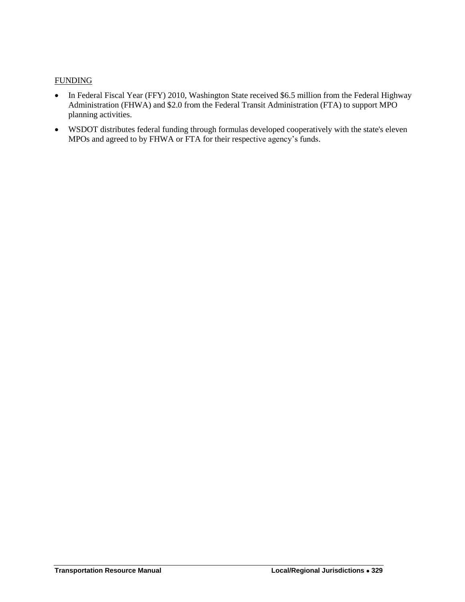#### FUNDING

- In Federal Fiscal Year (FFY) 2010, Washington State received \$6.5 million from the Federal Highway Administration (FHWA) and \$2.0 from the Federal Transit Administration (FTA) to support MPO planning activities.
- WSDOT distributes federal funding through formulas developed cooperatively with the state's eleven MPOs and agreed to by FHWA or FTA for their respective agency's funds.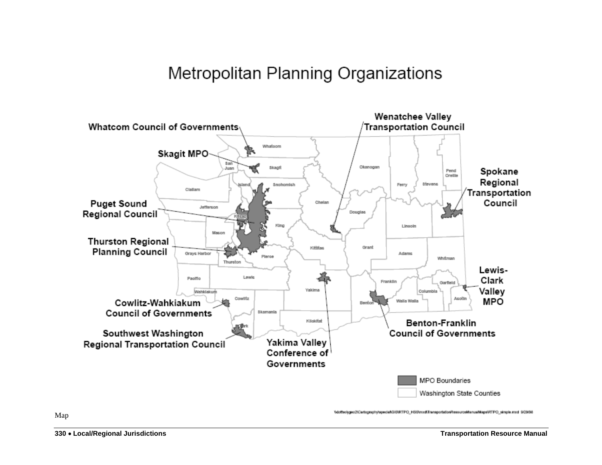# Metropolitan Planning Organizations



Map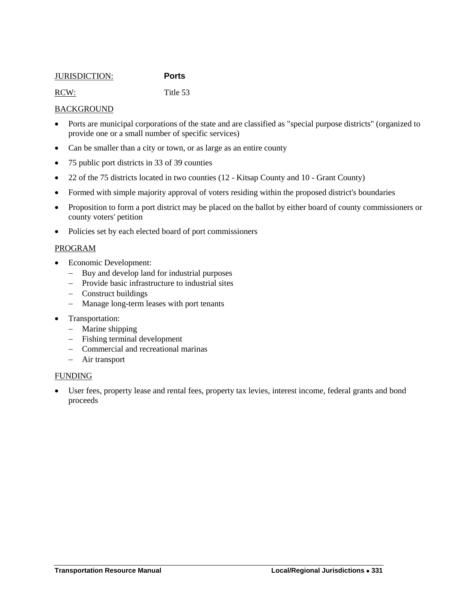#### <span id="page-10-0"></span>JURISDICTION: **Ports**

RCW: Title 53

#### **BACKGROUND**

- Ports are municipal corporations of the state and are classified as "special purpose districts" (organized to provide one or a small number of specific services)
- Can be smaller than a city or town, or as large as an entire county
- 75 public port districts in 33 of 39 counties
- 22 of the 75 districts located in two counties (12 Kitsap County and 10 Grant County)
- Formed with simple majority approval of voters residing within the proposed district's boundaries
- Proposition to form a port district may be placed on the ballot by either board of county commissioners or county voters' petition
- Policies set by each elected board of port commissioners

#### PROGRAM

- Economic Development:
	- Buy and develop land for industrial purposes
	- Provide basic infrastructure to industrial sites
	- Construct buildings
	- Manage long-term leases with port tenants
- Transportation:
	- Marine shipping
	- Fishing terminal development
	- Commercial and recreational marinas
	- Air transport

#### FUNDING

 User fees, property lease and rental fees, property tax levies, interest income, federal grants and bond proceeds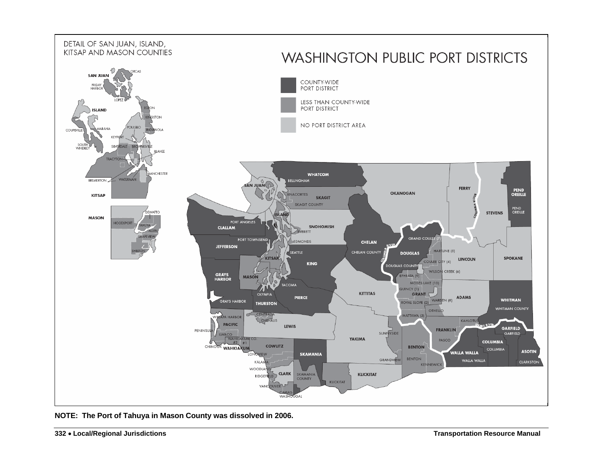

**NOTE: The Port of Tahuya in Mason County was dissolved in 2006.**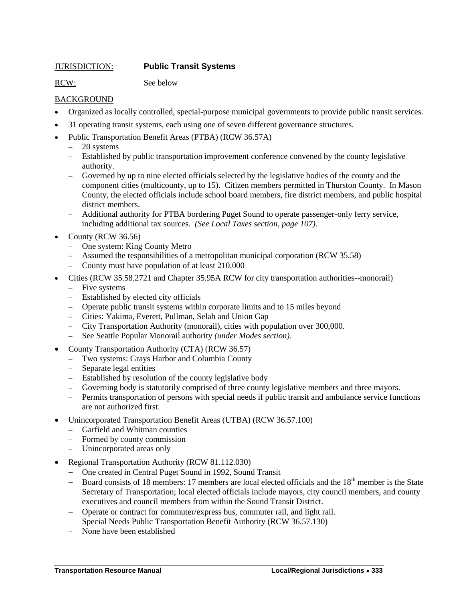#### <span id="page-12-0"></span>JURISDICTION: **Public Transit Systems**

RCW: See below

#### BACKGROUND

- Organized as locally controlled, special-purpose municipal governments to provide public transit services.
- 31 operating transit systems, each using one of seven different governance structures.
- Public Transportation Benefit Areas (PTBA) (RCW 36.57A)
	- 20 systems
	- Established by public transportation improvement conference convened by the county legislative authority.
	- Governed by up to nine elected officials selected by the legislative bodies of the county and the component cities (multicounty, up to 15). Citizen members permitted in Thurston County. In Mason County, the elected officials include school board members, fire district members, and public hospital district members.
	- Additional authority for PTBA bordering Puget Sound to operate passenger-only ferry service, including additional tax sources. *(See Local Taxes section, page 107).*
- County (RCW 36.56)
	- One system: King County Metro
	- Assumed the responsibilities of a metropolitan municipal corporation (RCW 35.58)
	- County must have population of at least 210,000
- Cities (RCW 35.58.2721 and Chapter 35.95A RCW for city transportation authorities--monorail)
	- Five systems
	- Established by elected city officials
	- Operate public transit systems within corporate limits and to 15 miles beyond
	- Cities: Yakima, Everett, Pullman, Selah and Union Gap
	- City Transportation Authority (monorail), cities with population over 300,000.
	- See Seattle Popular Monorail authority *(under Modes section).*
- County Transportation Authority (CTA) (RCW 36.57)
	- Two systems: Grays Harbor and Columbia County
	- Separate legal entities
	- Established by resolution of the county legislative body
	- Governing body is statutorily comprised of three county legislative members and three mayors.
	- Permits transportation of persons with special needs if public transit and ambulance service functions are not authorized first.
- Unincorporated Transportation Benefit Areas (UTBA) (RCW 36.57.100)
	- Garfield and Whitman counties
	- Formed by county commission
	- Unincorporated areas only
- Regional Transportation Authority (RCW 81.112.030)
	- One created in Central Puget Sound in 1992, Sound Transit
	- Board consists of 18 members: 17 members are local elected officials and the  $18<sup>th</sup>$  member is the State Secretary of Transportation; local elected officials include mayors, city council members, and county executives and council members from within the Sound Transit District.
	- Operate or contract for commuter/express bus, commuter rail, and light rail. Special Needs Public Transportation Benefit Authority (RCW 36.57.130)
	- None have been established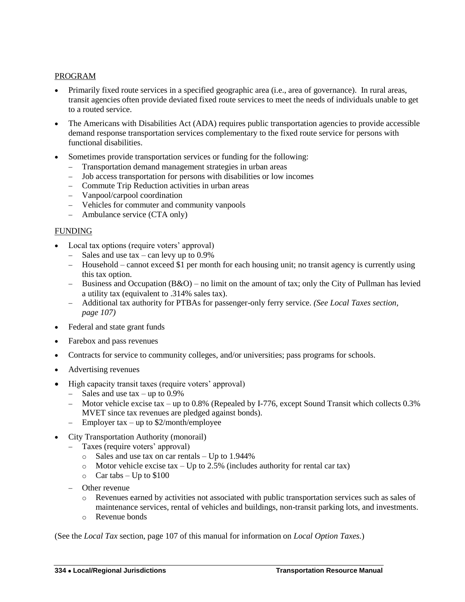#### PROGRAM

- Primarily fixed route services in a specified geographic area (i.e., area of governance). In rural areas, transit agencies often provide deviated fixed route services to meet the needs of individuals unable to get to a routed service.
- The Americans with Disabilities Act (ADA) requires public transportation agencies to provide accessible demand response transportation services complementary to the fixed route service for persons with functional disabilities.
- Sometimes provide transportation services or funding for the following:
	- Transportation demand management strategies in urban areas
	- Job access transportation for persons with disabilities or low incomes
	- Commute Trip Reduction activities in urban areas
	- Vanpool/carpool coordination
	- Vehicles for commuter and community vanpools
	- Ambulance service (CTA only)

#### FUNDING

- Local tax options (require voters' approval)
	- $-$  Sales and use tax can levy up to 0.9%
	- Household cannot exceed \$1 per month for each housing unit; no transit agency is currently using this tax option.
	- Business and Occupation  $(B&O)$  no limit on the amount of tax; only the City of Pullman has levied a utility tax (equivalent to .314% sales tax).
	- Additional tax authority for PTBAs for passenger-only ferry service. *(See Local Taxes section, page 107)*
- Federal and state grant funds
- Farebox and pass revenues
- Contracts for service to community colleges, and/or universities; pass programs for schools.
- Advertising revenues
- High capacity transit taxes (require voters' approval)
	- $-$  Sales and use tax  $-$  up to 0.9%
	- Motor vehicle excise tax up to 0.8% (Repealed by I-776, except Sound Transit which collects 0.3% MVET since tax revenues are pledged against bonds).
	- Employer tax up to \$2/month/employee
- City Transportation Authority (monorail)
	- Taxes (require voters' approval)
		- o Sales and use tax on car rentals Up to 1.944%
		- o Motor vehicle excise tax Up to 2.5% (includes authority for rental car tax)
		- $\circ$  Car tabs Up to \$100
		- Other revenue
			- o Revenues earned by activities not associated with public transportation services such as sales of maintenance services, rental of vehicles and buildings, non-transit parking lots, and investments.
			- o Revenue bonds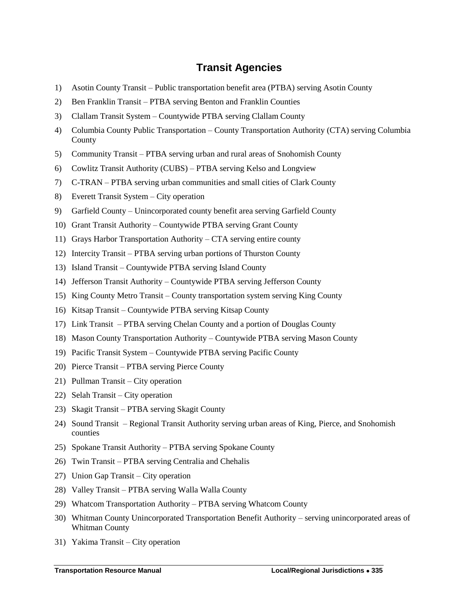### **Transit Agencies**

- <span id="page-14-0"></span>1) Asotin County Transit – Public transportation benefit area (PTBA) serving Asotin County
- 2) Ben Franklin Transit PTBA serving Benton and Franklin Counties
- 3) Clallam Transit System Countywide PTBA serving Clallam County
- 4) Columbia County Public Transportation County Transportation Authority (CTA) serving Columbia County
- 5) Community Transit PTBA serving urban and rural areas of Snohomish County
- 6) Cowlitz Transit Authority (CUBS) PTBA serving Kelso and Longview
- 7) C-TRAN PTBA serving urban communities and small cities of Clark County
- 8) Everett Transit System City operation
- 9) Garfield County Unincorporated county benefit area serving Garfield County
- 10) Grant Transit Authority Countywide PTBA serving Grant County
- 11) Grays Harbor Transportation Authority CTA serving entire county
- 12) Intercity Transit PTBA serving urban portions of Thurston County
- 13) Island Transit Countywide PTBA serving Island County
- 14) Jefferson Transit Authority Countywide PTBA serving Jefferson County
- 15) King County Metro Transit County transportation system serving King County
- 16) Kitsap Transit Countywide PTBA serving Kitsap County
- 17) Link Transit PTBA serving Chelan County and a portion of Douglas County
- 18) Mason County Transportation Authority Countywide PTBA serving Mason County
- 19) Pacific Transit System Countywide PTBA serving Pacific County
- 20) Pierce Transit PTBA serving Pierce County
- 21) Pullman Transit City operation
- 22) Selah Transit City operation
- 23) Skagit Transit PTBA serving Skagit County
- 24) Sound Transit Regional Transit Authority serving urban areas of King, Pierce, and Snohomish counties
- 25) Spokane Transit Authority PTBA serving Spokane County
- 26) Twin Transit PTBA serving Centralia and Chehalis
- 27) Union Gap Transit City operation
- 28) Valley Transit PTBA serving Walla Walla County
- 29) Whatcom Transportation Authority PTBA serving Whatcom County
- 30) Whitman County Unincorporated Transportation Benefit Authority serving unincorporated areas of Whitman County
- 31) Yakima Transit City operation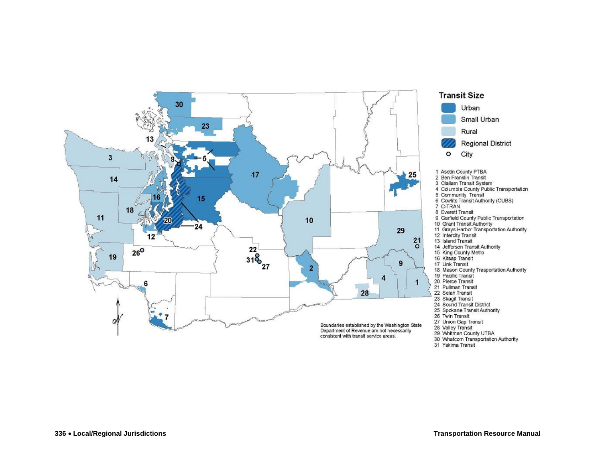

<sup>31</sup> Yakima Transit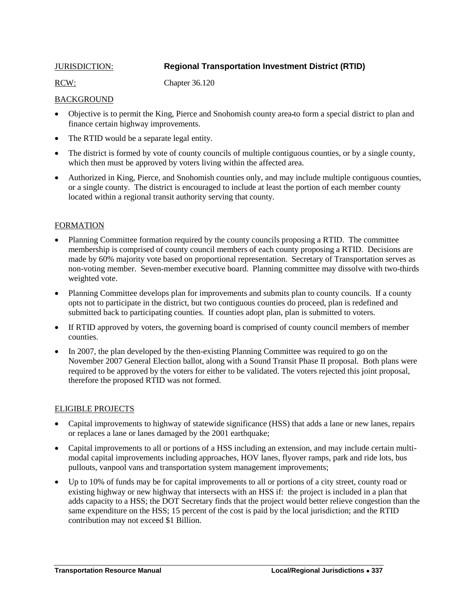### <span id="page-16-0"></span>JURISDICTION: **Regional Transportation Investment District (RTID)**

RCW: Chapter 36.120

#### **BACKGROUND**

- Objective is to permit the King, Pierce and Snohomish county area to form a special district to plan and finance certain highway improvements.
- The RTID would be a separate legal entity.
- The district is formed by vote of county councils of multiple contiguous counties, or by a single county, which then must be approved by voters living within the affected area.
- Authorized in King, Pierce, and Snohomish counties only, and may include multiple contiguous counties, or a single county. The district is encouraged to include at least the portion of each member county located within a regional transit authority serving that county.

#### **FORMATION**

- Planning Committee formation required by the county councils proposing a RTID. The committee membership is comprised of county council members of each county proposing a RTID. Decisions are made by 60% majority vote based on proportional representation. Secretary of Transportation serves as non-voting member. Seven-member executive board. Planning committee may dissolve with two-thirds weighted vote.
- Planning Committee develops plan for improvements and submits plan to county councils. If a county opts not to participate in the district, but two contiguous counties do proceed, plan is redefined and submitted back to participating counties. If counties adopt plan, plan is submitted to voters.
- If RTID approved by voters, the governing board is comprised of county council members of member counties.
- In 2007, the plan developed by the then-existing Planning Committee was required to go on the November 2007 General Election ballot, along with a Sound Transit Phase II proposal. Both plans were required to be approved by the voters for either to be validated. The voters rejected this joint proposal, therefore the proposed RTID was not formed.

#### ELIGIBLE PROJECTS

- Capital improvements to highway of statewide significance (HSS) that adds a lane or new lanes, repairs or replaces a lane or lanes damaged by the 2001 earthquake;
- Capital improvements to all or portions of a HSS including an extension, and may include certain multimodal capital improvements including approaches, HOV lanes, flyover ramps, park and ride lots, bus pullouts, vanpool vans and transportation system management improvements;
- Up to 10% of funds may be for capital improvements to all or portions of a city street, county road or existing highway or new highway that intersects with an HSS if: the project is included in a plan that adds capacity to a HSS; the DOT Secretary finds that the project would better relieve congestion than the same expenditure on the HSS; 15 percent of the cost is paid by the local jurisdiction; and the RTID contribution may not exceed \$1 Billion.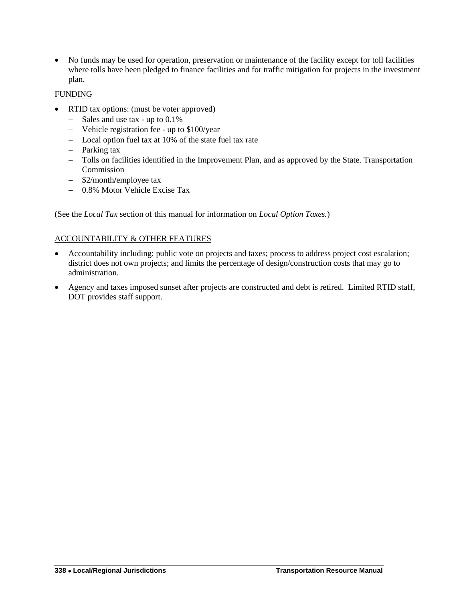No funds may be used for operation, preservation or maintenance of the facility except for toll facilities where tolls have been pledged to finance facilities and for traffic mitigation for projects in the investment plan.

#### FUNDING

- RTID tax options: (must be voter approved)
	- $-$  Sales and use tax up to 0.1%
	- Vehicle registration fee up to \$100/year
	- Local option fuel tax at 10% of the state fuel tax rate
	- Parking tax
	- Tolls on facilities identified in the Improvement Plan, and as approved by the State. Transportation Commission
	- \$2/month/employee tax
	- 0.8% Motor Vehicle Excise Tax

(See the *Local Tax* section of this manual for information on *Local Option Taxes.*)

#### ACCOUNTABILITY & OTHER FEATURES

- Accountability including: public vote on projects and taxes; process to address project cost escalation; district does not own projects; and limits the percentage of design/construction costs that may go to administration.
- Agency and taxes imposed sunset after projects are constructed and debt is retired. Limited RTID staff, DOT provides staff support.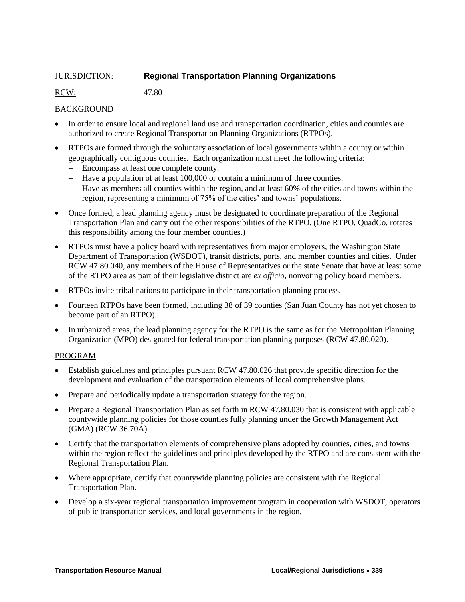#### <span id="page-18-0"></span>JURISDICTION: **Regional Transportation Planning Organizations**

RCW: 47.80

#### BACKGROUND

- In order to ensure local and regional land use and transportation coordination, cities and counties are authorized to create Regional Transportation Planning Organizations (RTPOs).
- RTPOs are formed through the voluntary association of local governments within a county or within geographically contiguous counties. Each organization must meet the following criteria:
	- Encompass at least one complete county.
	- Have a population of at least 100,000 or contain a minimum of three counties.
	- Have as members all counties within the region, and at least 60% of the cities and towns within the region, representing a minimum of 75% of the cities' and towns' populations.
- Once formed, a lead planning agency must be designated to coordinate preparation of the Regional Transportation Plan and carry out the other responsibilities of the RTPO. (One RTPO, QuadCo, rotates this responsibility among the four member counties.)
- RTPOs must have a policy board with representatives from major employers, the Washington State Department of Transportation (WSDOT), transit districts, ports, and member counties and cities. Under RCW 47.80.040, any members of the House of Representatives or the state Senate that have at least some of the RTPO area as part of their legislative district are *ex officio*, nonvoting policy board members.
- RTPOs invite tribal nations to participate in their transportation planning process.
- Fourteen RTPOs have been formed, including 38 of 39 counties (San Juan County has not yet chosen to become part of an RTPO).
- In urbanized areas, the lead planning agency for the RTPO is the same as for the Metropolitan Planning Organization (MPO) designated for federal transportation planning purposes (RCW 47.80.020).

#### PROGRAM

- Establish guidelines and principles pursuant RCW 47.80.026 that provide specific direction for the development and evaluation of the transportation elements of local comprehensive plans.
- Prepare and periodically update a transportation strategy for the region.
- Prepare a Regional Transportation Plan as set forth in RCW 47.80.030 that is consistent with applicable countywide planning policies for those counties fully planning under the Growth Management Act (GMA) (RCW 36.70A).
- Certify that the transportation elements of comprehensive plans adopted by counties, cities, and towns within the region reflect the guidelines and principles developed by the RTPO and are consistent with the Regional Transportation Plan.
- Where appropriate, certify that countywide planning policies are consistent with the Regional Transportation Plan.
- Develop a six-year regional transportation improvement program in cooperation with WSDOT, operators of public transportation services, and local governments in the region.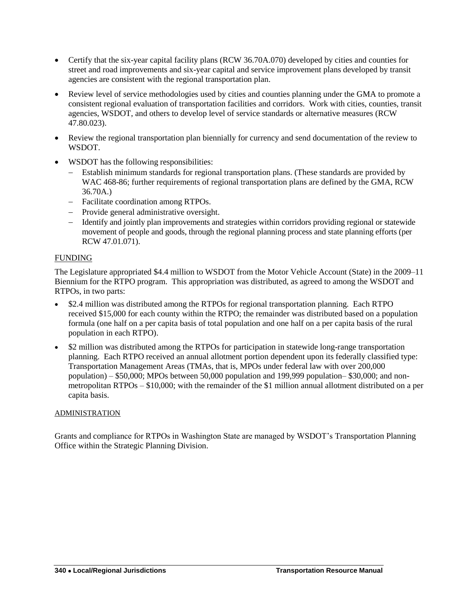- Certify that the six-year capital facility plans (RCW 36.70A.070) developed by cities and counties for street and road improvements and six-year capital and service improvement plans developed by transit agencies are consistent with the regional transportation plan.
- Review level of service methodologies used by cities and counties planning under the GMA to promote a consistent regional evaluation of transportation facilities and corridors. Work with cities, counties, transit agencies, WSDOT, and others to develop level of service standards or alternative measures (RCW 47.80.023).
- Review the regional transportation plan biennially for currency and send documentation of the review to WSDOT.
- WSDOT has the following responsibilities:
	- Establish minimum standards for regional transportation plans. (These standards are provided by WAC 468-86; further requirements of regional transportation plans are defined by the GMA, RCW 36.70A.)
	- Facilitate coordination among RTPOs.
	- Provide general administrative oversight.
	- Identify and jointly plan improvements and strategies within corridors providing regional or statewide movement of people and goods, through the regional planning process and state planning efforts (per RCW 47.01.071).

#### FUNDING

The Legislature appropriated \$4.4 million to WSDOT from the Motor Vehicle Account (State) in the 2009–11 Biennium for the RTPO program. This appropriation was distributed, as agreed to among the WSDOT and RTPOs, in two parts:

- \$2.4 million was distributed among the RTPOs for regional transportation planning. Each RTPO received \$15,000 for each county within the RTPO; the remainder was distributed based on a population formula (one half on a per capita basis of total population and one half on a per capita basis of the rural population in each RTPO).
- \$2 million was distributed among the RTPOs for participation in statewide long-range transportation planning. Each RTPO received an annual allotment portion dependent upon its federally classified type: Transportation Management Areas (TMAs, that is, MPOs under federal law with over 200,000 population) – \$50,000; MPOs between 50,000 population and 199,999 population– \$30,000; and nonmetropolitan RTPOs – \$10,000; with the remainder of the \$1 million annual allotment distributed on a per capita basis.

#### ADMINISTRATION

Grants and compliance for RTPOs in Washington State are managed by WSDOT's Transportation Planning Office within the Strategic Planning Division.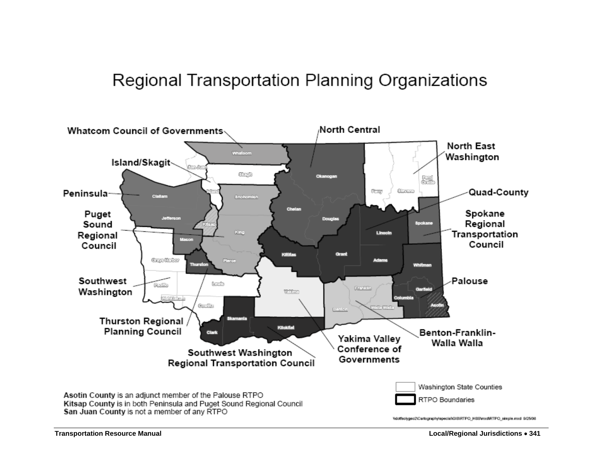# Regional Transportation Planning Organizations

<span id="page-20-0"></span>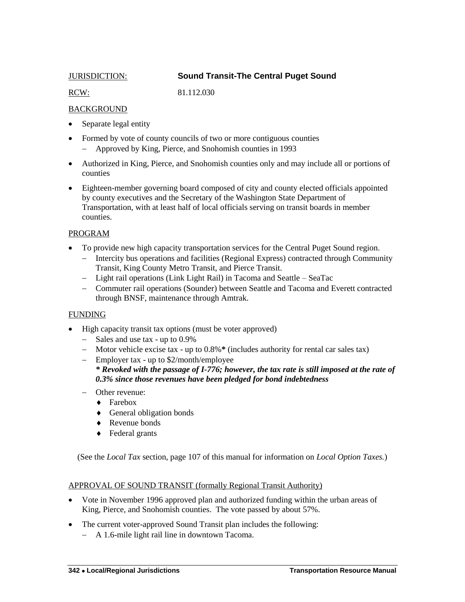<span id="page-21-0"></span>

#### JURISDICTION: **Sound Transit-The Central Puget Sound**

RCW: 81.112.030

#### **BACKGROUND**

- Separate legal entity
- Formed by vote of county councils of two or more contiguous counties Approved by King, Pierce, and Snohomish counties in 1993
- Authorized in King, Pierce, and Snohomish counties only and may include all or portions of counties
- Eighteen-member governing board composed of city and county elected officials appointed by county executives and the Secretary of the Washington State Department of Transportation, with at least half of local officials serving on transit boards in member counties.

#### PROGRAM

- To provide new high capacity transportation services for the Central Puget Sound region.
	- Intercity bus operations and facilities (Regional Express) contracted through Community Transit, King County Metro Transit, and Pierce Transit.
	- Light rail operations (Link Light Rail) in Tacoma and Seattle SeaTac
	- Commuter rail operations (Sounder) between Seattle and Tacoma and Everett contracted through BNSF, maintenance through Amtrak.

#### FUNDING

- High capacity transit tax options (must be voter approved)
	- $-$  Sales and use tax up to 0.9%
	- Motor vehicle excise tax up to 0.8%**\*** (includes authority for rental car sales tax)
	- Employer tax up to \$2/month/employee *\* Revoked with the passage of I-776; however, the tax rate is still imposed at the rate of 0.3% since those revenues have been pledged for bond indebtedness*
	- Other revenue:
		- ◆ Farebox
		- General obligation bonds
		- ◆ Revenue bonds
		- ◆ Federal grants

(See the *Local Tax* section, page 107 of this manual for information on *Local Option Taxes.*)

#### APPROVAL OF SOUND TRANSIT (formally Regional Transit Authority)

- Vote in November 1996 approved plan and authorized funding within the urban areas of King, Pierce, and Snohomish counties. The vote passed by about 57%.
- The current voter-approved Sound Transit plan includes the following:
	- A 1.6-mile light rail line in downtown Tacoma.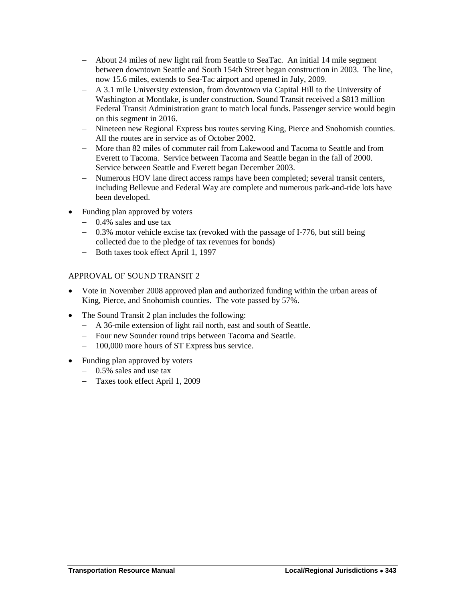- About 24 miles of new light rail from Seattle to SeaTac. An initial 14 mile segment between downtown Seattle and South 154th Street began construction in 2003. The line, now 15.6 miles, extends to Sea-Tac airport and opened in July, 2009.
- A 3.1 mile University extension, from downtown via Capital Hill to the University of Washington at Montlake, is under construction. Sound Transit received a \$813 million Federal Transit Administration grant to match local funds. Passenger service would begin on this segment in 2016.
- Nineteen new Regional Express bus routes serving King, Pierce and Snohomish counties. All the routes are in service as of October 2002.
- More than 82 miles of commuter rail from Lakewood and Tacoma to Seattle and from Everett to Tacoma. Service between Tacoma and Seattle began in the fall of 2000. Service between Seattle and Everett began December 2003.
- Numerous HOV lane direct access ramps have been completed; several transit centers, including Bellevue and Federal Way are complete and numerous park-and-ride lots have been developed.
- Funding plan approved by voters
	- 0.4% sales and use tax
	- $-$  0.3% motor vehicle excise tax (revoked with the passage of I-776, but still being collected due to the pledge of tax revenues for bonds)
	- Both taxes took effect April 1, 1997

#### APPROVAL OF SOUND TRANSIT 2

- Vote in November 2008 approved plan and authorized funding within the urban areas of King, Pierce, and Snohomish counties. The vote passed by 57%.
- The Sound Transit 2 plan includes the following:
	- A 36-mile extension of light rail north, east and south of Seattle.
	- Four new Sounder round trips between Tacoma and Seattle.
	- 100,000 more hours of ST Express bus service.
- Funding plan approved by voters
	- $-$  0.5% sales and use tax
	- Taxes took effect April 1, 2009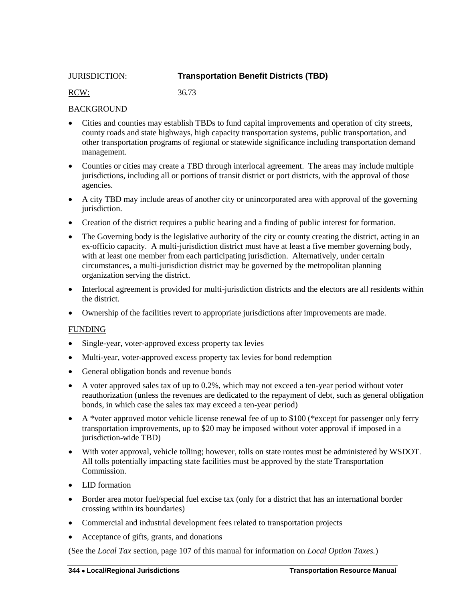#### <span id="page-23-0"></span>JURISDICTION: **Transportation Benefit Districts (TBD)**

RCW: 36.73

#### BACKGROUND

- Cities and counties may establish TBDs to fund capital improvements and operation of city streets, county roads and state highways, high capacity transportation systems, public transportation, and other transportation programs of regional or statewide significance including transportation demand management.
- Counties or cities may create a TBD through interlocal agreement. The areas may include multiple jurisdictions, including all or portions of transit district or port districts, with the approval of those agencies.
- A city TBD may include areas of another city or unincorporated area with approval of the governing jurisdiction.
- Creation of the district requires a public hearing and a finding of public interest for formation.
- The Governing body is the legislative authority of the city or county creating the district, acting in an ex-officio capacity. A multi-jurisdiction district must have at least a five member governing body, with at least one member from each participating jurisdiction. Alternatively, under certain circumstances, a multi-jurisdiction district may be governed by the metropolitan planning organization serving the district.
- Interlocal agreement is provided for multi-jurisdiction districts and the electors are all residents within the district.
- Ownership of the facilities revert to appropriate jurisdictions after improvements are made.

#### FUNDING

- Single-year, voter-approved excess property tax levies
- Multi-year, voter-approved excess property tax levies for bond redemption
- General obligation bonds and revenue bonds
- $\bullet$  A voter approved sales tax of up to 0.2%, which may not exceed a ten-year period without voter reauthorization (unless the revenues are dedicated to the repayment of debt, such as general obligation bonds, in which case the sales tax may exceed a ten-year period)
- $\blacklozenge$  A \*voter approved motor vehicle license renewal fee of up to \$100 (\*except for passenger only ferry transportation improvements, up to \$20 may be imposed without voter approval if imposed in a jurisdiction-wide TBD)
- With voter approval, vehicle tolling; however, tolls on state routes must be administered by WSDOT. All tolls potentially impacting state facilities must be approved by the state Transportation Commission.
- LID formation
- Border area motor fuel/special fuel excise tax (only for a district that has an international border crossing within its boundaries)
- Commercial and industrial development fees related to transportation projects
- Acceptance of gifts, grants, and donations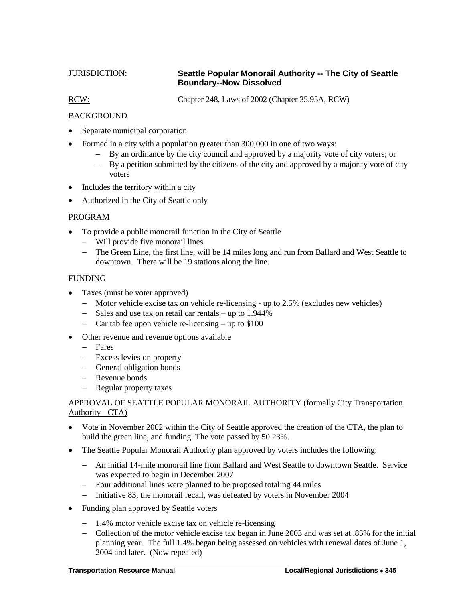#### <span id="page-24-0"></span>JURISDICTION: **Seattle Popular Monorail Authority -- The City of Seattle Boundary--Now Dissolved**

RCW: Chapter 248, Laws of 2002 (Chapter 35.95A, RCW)

#### BACKGROUND

- Separate municipal corporation
- Formed in a city with a population greater than 300,000 in one of two ways:
	- By an ordinance by the city council and approved by a majority vote of city voters; or
	- By a petition submitted by the citizens of the city and approved by a majority vote of city voters
- Includes the territory within a city
- Authorized in the City of Seattle only

#### PROGRAM

- To provide a public monorail function in the City of Seattle
	- Will provide five monorail lines
	- The Green Line, the first line, will be 14 miles long and run from Ballard and West Seattle to downtown. There will be 19 stations along the line.

#### FUNDING

- Taxes (must be voter approved)
	- Motor vehicle excise tax on vehicle re-licensing up to 2.5% (excludes new vehicles)
	- Sales and use tax on retail car rentals up to 1.944%
	- Car tab fee upon vehicle re-licensing up to  $$100$
- Other revenue and revenue options available
	- Fares
	- Excess levies on property
	- General obligation bonds
	- Revenue bonds
	- Regular property taxes

#### APPROVAL OF SEATTLE POPULAR MONORAIL AUTHORITY (formally City Transportation Authority - CTA)

- Vote in November 2002 within the City of Seattle approved the creation of the CTA, the plan to build the green line, and funding. The vote passed by 50.23%.
- The Seattle Popular Monorail Authority plan approved by voters includes the following:
	- An initial 14-mile monorail line from Ballard and West Seattle to downtown Seattle. Service was expected to begin in December 2007
	- Four additional lines were planned to be proposed totaling 44 miles
	- Initiative 83, the monorail recall, was defeated by voters in November 2004
- Funding plan approved by Seattle voters
	- 1.4% motor vehicle excise tax on vehicle re-licensing
	- Collection of the motor vehicle excise tax began in June 2003 and was set at .85% for the initial planning year. The full 1.4% began being assessed on vehicles with renewal dates of June 1, 2004 and later. (Now repealed)